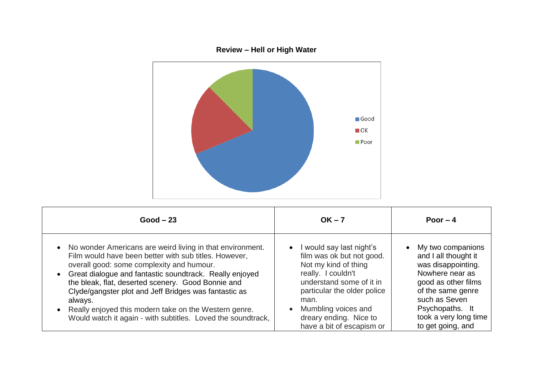

| $Good - 23$                                                                                                                                                                                                                                                                                                                                                                                                                                                                         | $OK - 7$                                                                                                                                                                                                                                                                       | Poor $-4$                                                                                                                                                                                                                     |
|-------------------------------------------------------------------------------------------------------------------------------------------------------------------------------------------------------------------------------------------------------------------------------------------------------------------------------------------------------------------------------------------------------------------------------------------------------------------------------------|--------------------------------------------------------------------------------------------------------------------------------------------------------------------------------------------------------------------------------------------------------------------------------|-------------------------------------------------------------------------------------------------------------------------------------------------------------------------------------------------------------------------------|
| • No wonder Americans are weird living in that environment.<br>Film would have been better with sub titles. However,<br>overall good: some complexity and humour.<br>• Great dialogue and fantastic soundtrack. Really enjoyed<br>the bleak, flat, deserted scenery. Good Bonnie and<br>Clyde/gangster plot and Jeff Bridges was fantastic as<br>always.<br>• Really enjoyed this modern take on the Western genre.<br>Would watch it again - with subtitles. Loved the soundtrack, | I would say last night's<br>$\bullet$<br>film was ok but not good.<br>Not my kind of thing<br>really. I couldn't<br>understand some of it in<br>particular the older police<br>man.<br>Mumbling voices and<br>$\bullet$<br>dreary ending. Nice to<br>have a bit of escapism or | My two companions<br>$\bullet$<br>and I all thought it<br>was disappointing.<br>Nowhere near as<br>good as other films<br>of the same genre<br>such as Seven<br>Psychopaths. It<br>took a very long time<br>to get going, and |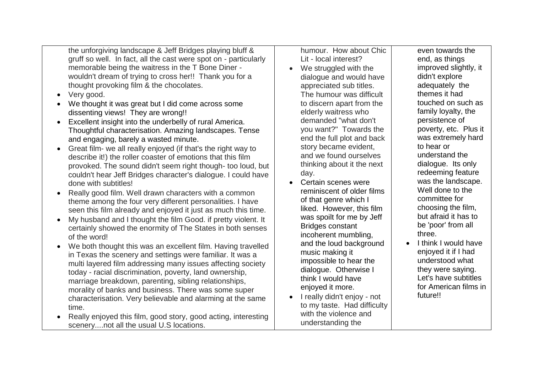the unforgiving landscape & Jeff Bridges playing bluff & gruff so well. In fact, all the cast were spot on - particularly memorable being the waitress in the T Bone Diner wouldn't dream of trying to cross her!! Thank you for a thought provoking film & the chocolates.

- Very good.
- We thought it was great but I did come across some dissenting views! They are wrong!!
- Excellent insight into the underbelly of rural America. Thoughtful characterisation. Amazing landscapes. Tense and engaging, barely a wasted minute.
- Great film- we all really enjoyed (if that's the right way to describe it!) the roller coaster of emotions that this film provoked. The sound didn't seem right though- too loud, but couldn't hear Jeff Bridges character's dialogue. I could have done with subtitles!
- Really good film. Well drawn characters with a common theme among the four very different personalities. I have seen this film already and enjoyed it just as much this time.
- My husband and I thought the film Good. if pretty violent. It certainly showed the enormity of The States in both senses of the word!
- We both thought this was an excellent film. Having travelled in Texas the scenery and settings were familiar. It was a multi layered film addressing many issues affecting society today - racial discrimination, poverty, land ownership, marriage breakdown, parenting, sibling relationships, morality of banks and business. There was some super characterisation. Very believable and alarming at the same time.
- Really enjoyed this film, good story, good acting, interesting scenery....not all the usual U.S locations.

humour. How about Chic Lit - local interest?

- We struggled with the dialogue and would have appreciated sub titles. The humour was difficult to discern apart from the elderly waitress who demanded "what don't you want?" Towards the end the full plot and back story became evident, and we found ourselves thinking about it the next day.
- Certain scenes were reminiscent of older films of that genre which I liked. However, this film was spoilt for me by Jeff Bridges constant incoherent mumbling, and the loud background music making it impossible to hear the dialogue. Otherwise I think I would have enjoyed it more.
- I really didn't enjoy not to my taste. Had difficulty with the violence and understanding the

even towards the end, as things improved slightly, it didn't explore adequately the themes it had touched on such as family loyalty, the persistence of poverty, etc. Plus it was extremely hard to hear or understand the dialogue. Its only redeeming feature was the landscape. Well done to the committee for choosing the film, but afraid it has to be 'poor' from all three.

 I think I would have enjoyed it if I had understood what they were saying. Let's have subtitles for American films in future!!